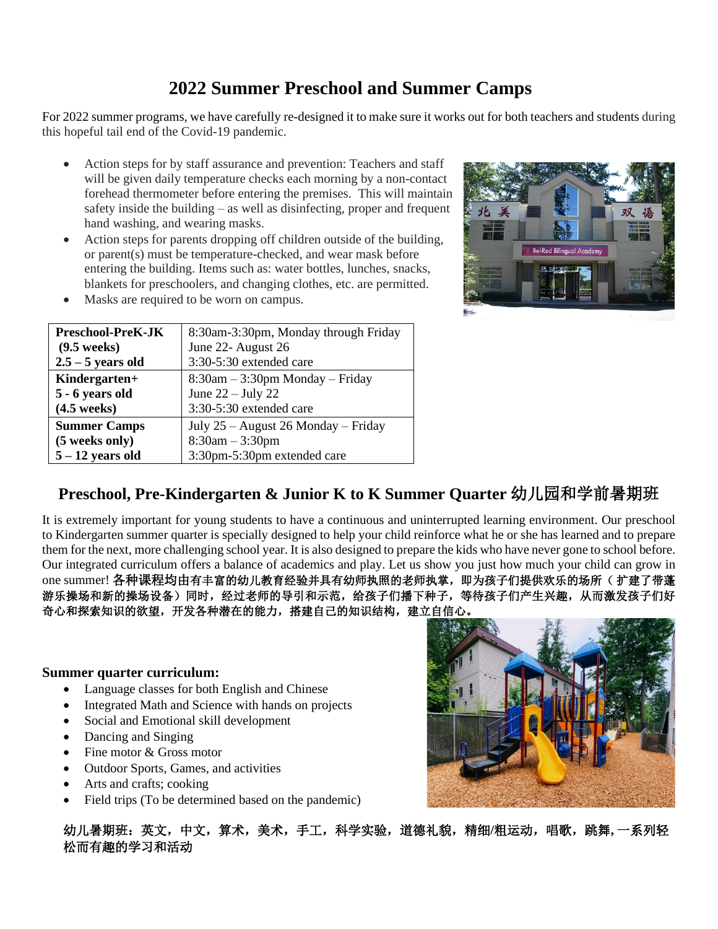# **2022 Summer Preschool and Summer Camps**

For 2022 summer programs, we have carefully re-designed it to make sure it works out for both teachers and students during this hopeful tail end of the Covid-19 pandemic.

- Action steps for by staff assurance and prevention: Teachers and staff will be given daily temperature checks each morning by a non-contact forehead thermometer before entering the premises. This will maintain safety inside the building – as well as disinfecting, proper and frequent hand washing, and wearing masks.
- Action steps for parents dropping off children outside of the building, or parent(s) must be temperature-checked, and wear mask before entering the building. Items such as: water bottles, lunches, snacks, blankets for preschoolers, and changing clothes, etc. are permitted.
- Masks are required to be worn on campus.

| <b>Preschool-PreK-JK</b> | 8:30am-3:30pm, Monday through Friday |  |
|--------------------------|--------------------------------------|--|
| $(9.5 \text{ weeks})$    | June 22- August 26                   |  |
| $2.5 - 5$ years old      | 3:30-5:30 extended care              |  |
| Kindergarten+            | $8:30am - 3:30pm$ Monday – Friday    |  |
| 5 - 6 years old          | June $22 -$ July 22                  |  |
| $(4.5 \text{ weeks})$    | 3:30-5:30 extended care              |  |
| <b>Summer Camps</b>      | July 25 – August 26 Monday – Friday  |  |
| (5 weeks only)           | $8:30am - 3:30pm$                    |  |
| $5 - 12$ years old       | 3:30pm-5:30pm extended care          |  |



### **Preschool, Pre-Kindergarten & Junior K to K Summer Quarter** 幼儿园和学前暑期班

It is extremely important for young students to have a continuous and uninterrupted learning environment. Our preschool to Kindergarten summer quarter is specially designed to help your child reinforce what he or she has learned and to prepare them for the next, more challenging school year. It is also designed to prepare the kids who have never gone to school before. Our integrated curriculum offers a balance of academics and play. Let us show you just how much your child can grow in one summer! 各种课程均由有丰富的幼儿教育经验并具有幼师执照的老师执掌, 即为孩子们提供欢乐的场所(扩建了带蓬 游乐操场和新的操场设备)同时,经过老师的导引和示范,给孩子们播下种子,等待孩子们产生兴趣,从而激发孩子们好 奇心和探索知识的欲望,开发各种潜在的能力,搭建自己的知识结构,建立自信心。

### **Summer quarter curriculum:**

- Language classes for both English and Chinese
- Integrated Math and Science with hands on projects
- Social and Emotional skill development
- Dancing and Singing
- Fine motor & Gross motor
- Outdoor Sports, Games, and activities
- Arts and crafts; cooking
- Field trips (To be determined based on the pandemic)



幼儿暑期班:英文,中文,算术,美术,手工,科学实验,道德礼貌,精细**/**粗运动,唱歌,跳舞**,** 一系列轻 松而有趣的学习和活动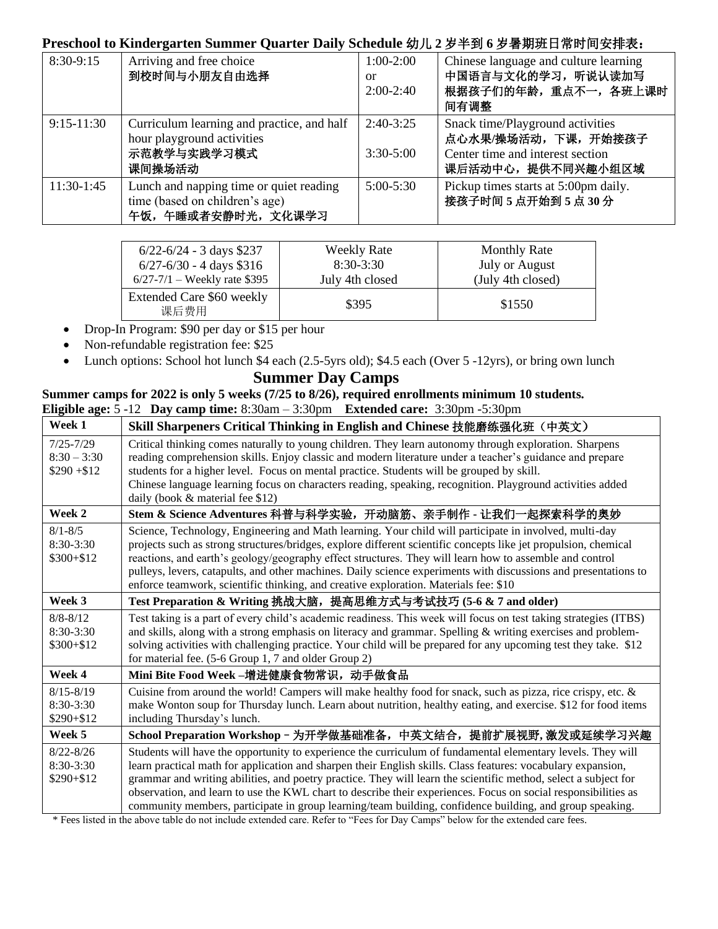### **Preschool to Kindergarten Summer Quarter Daily Schedule** 幼儿 **2** 岁半到 **6** 岁暑期班日常时间安排表:

| 8:30-9:15    | Arriving and free choice<br>到校时间与小朋友自由选择                                                          | $1:00-2:00$<br><sub>or</sub><br>$2:00-2:40$ | Chinese language and culture learning<br>中国语言与文化的学习, 听说认读加写<br>根据孩子们的年龄, 重点不一, 各班上课时<br>间有调整                     |
|--------------|---------------------------------------------------------------------------------------------------|---------------------------------------------|------------------------------------------------------------------------------------------------------------------|
| $9:15-11:30$ | Curriculum learning and practice, and half<br>hour playground activities<br>示范教学与实践学习模式<br>课间操场活动 | $2:40-3:25$<br>$3:30-5:00$                  | Snack time/Playground activities<br>点心水果/操场活动,下课,开始接孩子<br>Center time and interest section<br>课后活动中心, 提供不同兴趣小组区域 |
| $11:30-1:45$ | Lunch and napping time or quiet reading<br>time (based on children's age)<br>午饭,午睡或者安静时光,文化课学习    | $5:00 - 5:30$                               | Pickup times starts at 5:00pm daily.<br>接孩子时间5点开始到5点30分                                                          |

| $6/22 - 6/24 - 3$ days \$237      | <b>Weekly Rate</b> | <b>Monthly Rate</b>   |
|-----------------------------------|--------------------|-----------------------|
| $6/27 - 6/30 - 4$ days \$316      | $8:30-3:30$        | <b>July or August</b> |
| $6/27 - 7/1$ – Weekly rate \$395  | July 4th closed    | (July 4th closed)     |
| Extended Care \$60 weekly<br>课后费用 | \$395              | \$1550                |

- Drop-In Program: \$90 per day or \$15 per hour
- Non-refundable registration fee: \$25
- Lunch options: School hot lunch \$4 each (2.5-5yrs old); \$4.5 each (Over 5 -12yrs), or bring own lunch

## **Summer camps for 2022 is only 5 weeks (7/25 to 8/26), required enrollments minimum 10 students.**

| <b>Summer Day Camps</b>                                                                         |                                                                                                                                                                                                                                                                                                                                                                                                                                                                                                                                                 |  |  |  |  |
|-------------------------------------------------------------------------------------------------|-------------------------------------------------------------------------------------------------------------------------------------------------------------------------------------------------------------------------------------------------------------------------------------------------------------------------------------------------------------------------------------------------------------------------------------------------------------------------------------------------------------------------------------------------|--|--|--|--|
| Summer camps for 2022 is only 5 weeks (7/25 to 8/26), required enrollments minimum 10 students. |                                                                                                                                                                                                                                                                                                                                                                                                                                                                                                                                                 |  |  |  |  |
|                                                                                                 | Eligible age: $5 - 12$ Day camp time: $8:30am - 3:30pm$ Extended care: $3:30pm - 5:30pm$                                                                                                                                                                                                                                                                                                                                                                                                                                                        |  |  |  |  |
| Week 1                                                                                          | Skill Sharpeners Critical Thinking in English and Chinese 技能磨练强化班(中英文)                                                                                                                                                                                                                                                                                                                                                                                                                                                                          |  |  |  |  |
| $7/25 - 7/29$<br>$8:30 - 3:30$<br>$$290 + $12$                                                  | Critical thinking comes naturally to young children. They learn autonomy through exploration. Sharpens<br>reading comprehension skills. Enjoy classic and modern literature under a teacher's guidance and prepare<br>students for a higher level. Focus on mental practice. Students will be grouped by skill.<br>Chinese language learning focus on characters reading, speaking, recognition. Playground activities added<br>daily (book $&$ material fee \$12)                                                                              |  |  |  |  |
| Week 2                                                                                          | Stem & Science Adventures 科普与科学实验, 开动脑筋、亲手制作 - 让我们一起探索科学的奥妙                                                                                                                                                                                                                                                                                                                                                                                                                                                                                     |  |  |  |  |
| $8/1 - 8/5$<br>8:30-3:30<br>$$300 + $12$                                                        | Science, Technology, Engineering and Math learning. Your child will participate in involved, multi-day<br>projects such as strong structures/bridges, explore different scientific concepts like jet propulsion, chemical<br>reactions, and earth's geology/geography effect structures. They will learn how to assemble and control<br>pulleys, levers, catapults, and other machines. Daily science experiments with discussions and presentations to<br>enforce teamwork, scientific thinking, and creative exploration. Materials fee: \$10 |  |  |  |  |
| Week 3                                                                                          | Test Preparation & Writing 挑战大脑, 提高思维方式与考试技巧 (5-6 & 7 and older)                                                                                                                                                                                                                                                                                                                                                                                                                                                                                |  |  |  |  |
| $8/8 - 8/12$<br>$8:30-3:30$<br>$$300 + $12$                                                     | Test taking is a part of every child's academic readiness. This week will focus on test taking strategies (ITBS)<br>and skills, along with a strong emphasis on literacy and grammar. Spelling & writing exercises and problem-<br>solving activities with challenging practice. Your child will be prepared for any upcoming test they take. \$12<br>for material fee. (5-6 Group 1, 7 and older Group 2)                                                                                                                                      |  |  |  |  |
| Week 4                                                                                          | Mini Bite Food Week -增进健康食物常识, 动手做食品                                                                                                                                                                                                                                                                                                                                                                                                                                                                                                            |  |  |  |  |
| $8/15 - 8/19$<br>8:30-3:30<br>$$290 + $12$                                                      | Cuisine from around the world! Campers will make healthy food for snack, such as pizza, rice crispy, etc. &<br>make Wonton soup for Thursday lunch. Learn about nutrition, healthy eating, and exercise. \$12 for food items<br>including Thursday's lunch.                                                                                                                                                                                                                                                                                     |  |  |  |  |
| Week 5                                                                                          | School Preparation Workshop - 为开学做基础准备, 中英文结合, 提前扩展视野, 激发或延续学习兴趣                                                                                                                                                                                                                                                                                                                                                                                                                                                                                |  |  |  |  |
| $8/22 - 8/26$<br>$8:30-3:30$<br>$$290 + $12$                                                    | Students will have the opportunity to experience the curriculum of fundamental elementary levels. They will<br>learn practical math for application and sharpen their English skills. Class features: vocabulary expansion,<br>grammar and writing abilities, and poetry practice. They will learn the scientific method, select a subject for<br>observation, and learn to use the KWL chart to describe their experiences. Focus on social responsibilities as                                                                                |  |  |  |  |

community members, participate in group learning/team building, confidence building, and group speaking. \* Fees listed in the above table do not include extended care. Refer to "Fees for Day Camps" below for the extended care fees.